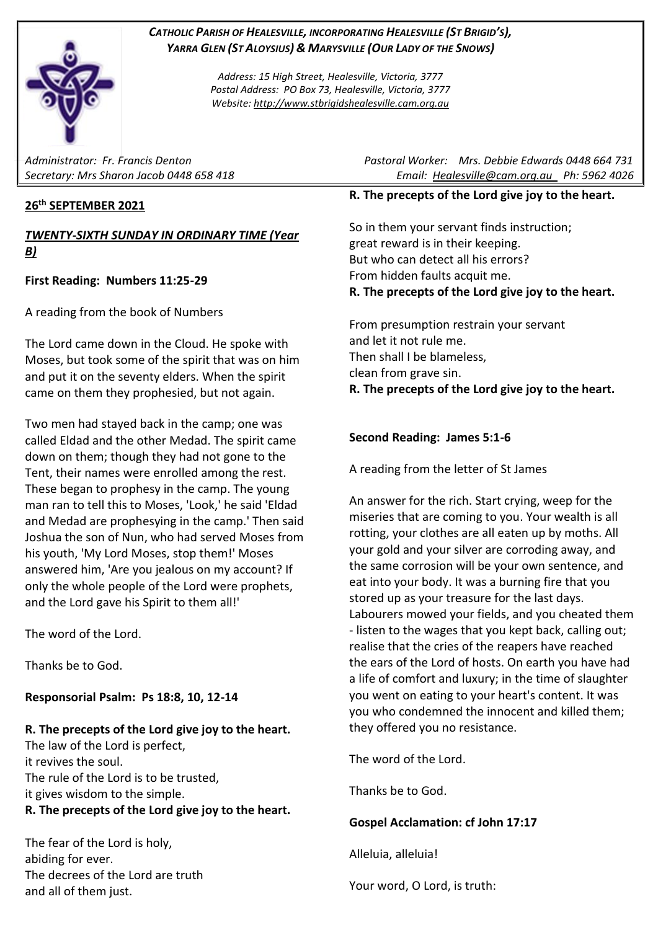#### *CATHOLIC PARISH OF HEALESVILLE, INCORPORATING HEALESVILLE (ST BRIGID'S), YARRA GLEN (ST ALOYSIUS) & MARYSVILLE (OUR LADY OF THE SNOWS)*

*Address: 15 High Street, Healesville, Victoria, 3777 Postal Address: PO Box 73, Healesville, Victoria, 3777 Website: [http://www.stbrigidshealesville.cam.org.au](http://www.stbrigidshealesville.cam.org.au/)*

### **26th SEPTEMBER 2021**

#### *TWENTY-SIXTH SUNDAY IN ORDINARY TIME (Year B)*

**First Reading: Numbers 11:25-29**

A reading from the book of Numbers

The Lord came down in the Cloud. He spoke with Moses, but took some of the spirit that was on him and put it on the seventy elders. When the spirit came on them they prophesied, but not again.

Two men had stayed back in the camp; one was called Eldad and the other Medad. The spirit came down on them; though they had not gone to the Tent, their names were enrolled among the rest. These began to prophesy in the camp. The young man ran to tell this to Moses, 'Look,' he said 'Eldad and Medad are prophesying in the camp.' Then said Joshua the son of Nun, who had served Moses from his youth, 'My Lord Moses, stop them!' Moses answered him, 'Are you jealous on my account? If only the whole people of the Lord were prophets, and the Lord gave his Spirit to them all!'

The word of the Lord.

Thanks be to God.

**Responsorial Psalm: Ps 18:8, 10, 12-14**

# **R. The precepts of the Lord give joy to the heart.**

The law of the Lord is perfect, it revives the soul. The rule of the Lord is to be trusted, it gives wisdom to the simple. **R. The precepts of the Lord give joy to the heart.**

The fear of the Lord is holy, abiding for ever. The decrees of the Lord are truth and all of them just.

*Administrator: Fr. Francis Denton Pastoral Worker: Mrs. Debbie Edwards 0448 664 731 Secretary: Mrs Sharon Jacob 0448 658 418 Email: [Healesville@cam.org.au](mailto:Healesville@cam.org.au) Ph: 5962 4026* 

## **R. The precepts of the Lord give joy to the heart.**

So in them your servant finds instruction; great reward is in their keeping. But who can detect all his errors? From hidden faults acquit me. **R. The precepts of the Lord give joy to the heart.**

From presumption restrain your servant and let it not rule me. Then shall I be blameless, clean from grave sin. **R. The precepts of the Lord give joy to the heart.**

### **Second Reading: James 5:1-6**

A reading from the letter of St James

An answer for the rich. Start crying, weep for the miseries that are coming to you. Your wealth is all rotting, your clothes are all eaten up by moths. All your gold and your silver are corroding away, and the same corrosion will be your own sentence, and eat into your body. It was a burning fire that you stored up as your treasure for the last days. Labourers mowed your fields, and you cheated them - listen to the wages that you kept back, calling out; realise that the cries of the reapers have reached the ears of the Lord of hosts. On earth you have had a life of comfort and luxury; in the time of slaughter you went on eating to your heart's content. It was you who condemned the innocent and killed them; they offered you no resistance.

The word of the Lord.

Thanks be to God.

### **Gospel Acclamation: cf John 17:17**

Alleluia, alleluia!

Your word, O Lord, is truth:

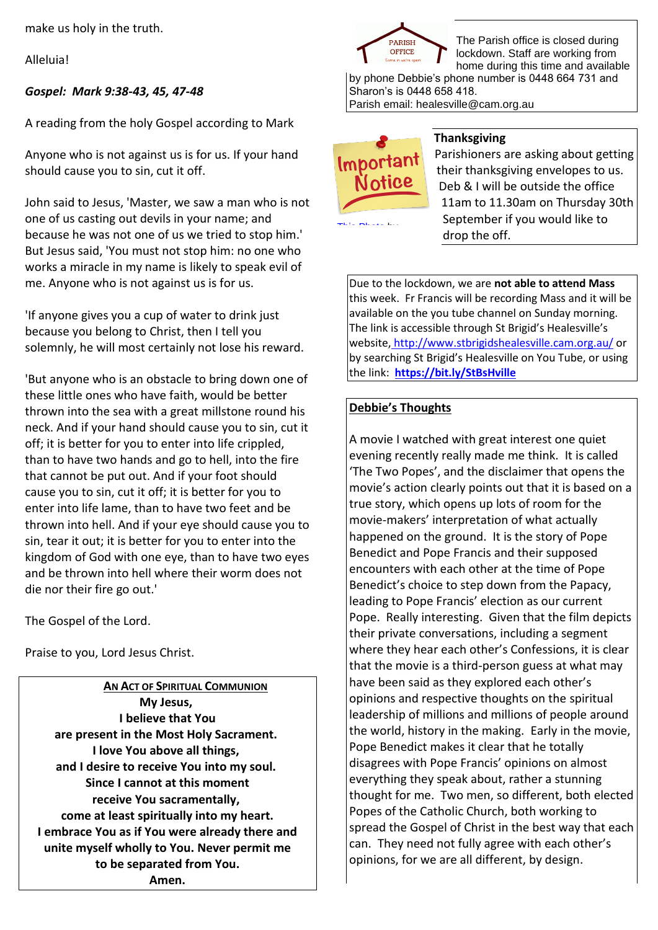make us holy in the truth.

Alleluia!

*Gospel: Mark 9:38-43, 45, 47-48*

A reading from the holy Gospel according to Mark

Anyone who is not against us is for us. If your hand should cause you to sin, cut it off.

John said to Jesus, 'Master, we saw a man who is not one of us casting out devils in your name; and because he was not one of us we tried to stop him.' But Jesus said, 'You must not stop him: no one who works a miracle in my name is likely to speak evil of me. Anyone who is not against us is for us.

'If anyone gives you a cup of water to drink just because you belong to Christ, then I tell you solemnly, he will most certainly not lose his reward.

'But anyone who is an obstacle to bring down one of these little ones who have faith, would be better thrown into the sea with a great millstone round his neck. And if your hand should cause you to sin, cut it off; it is better for you to enter into life crippled, than to have two hands and go to hell, into the fire that cannot be put out. And if your foot should cause you to sin, cut it off; it is better for you to enter into life lame, than to have two feet and be thrown into hell. And if your eye should cause you to sin, tear it out; it is better for you to enter into the kingdom of God with one eye, than to have two eyes and be thrown into hell where their worm does not die nor their fire go out.'

The Gospel of the Lord.

Praise to you, Lord Jesus Christ.

**AN ACT OF SPIRITUAL COMMUNION My Jesus, I believe that You are present in the Most Holy Sacrament. I love You above all things, and I desire to receive You into my soul. Since I cannot at this moment receive You sacramentally, come at least spiritually into my heart. I embrace You as if You were already there and unite myself wholly to You. Never permit me to be separated from You. Amen.**



The Parish office is closed during lockdown. Staff are working from home during this time and available

by phone Debbie's phone number is 0448 664 731 and Sharon's is 0448 658 418. Parish email: healesville@cam.org.au



### **Thanksgiving**

Parishioners are asking about getting their thanksgiving envelopes to us. Deb & I will be outside the office 11am to 11.30am on Thursday 30th September if you would like to drop the off.

Due to the lockdown, we are **not able to attend Mass** this week. Fr Francis will be recording Mass and it will be available on the you tube channel on Sunday morning. The link is accessible through St Brigid's Healesville's website, <http://www.stbrigidshealesville.cam.org.au/> or by searching St Brigid's Healesville on You Tube, or using the link: **<https://bit.ly/StBsHville>**

### **Debbie's Thoughts**

A movie I watched with great interest one quiet evening recently really made me think. It is called 'The Two Popes', and the disclaimer that opens the movie's action clearly points out that it is based on a true story, which opens up lots of room for the movie-makers' interpretation of what actually happened on the ground. It is the story of Pope Benedict and Pope Francis and their supposed encounters with each other at the time of Pope Benedict's choice to step down from the Papacy, leading to Pope Francis' election as our current Pope. Really interesting. Given that the film depicts their private conversations, including a segment where they hear each other's Confessions, it is clear that the movie is a third-person guess at what may have been said as they explored each other's opinions and respective thoughts on the spiritual leadership of millions and millions of people around the world, history in the making. Early in the movie, Pope Benedict makes it clear that he totally disagrees with Pope Francis' opinions on almost everything they speak about, rather a stunning thought for me. Two men, so different, both elected Popes of the Catholic Church, both working to spread the Gospel of Christ in the best way that each can. They need not fully agree with each other's opinions, for we are all different, by design.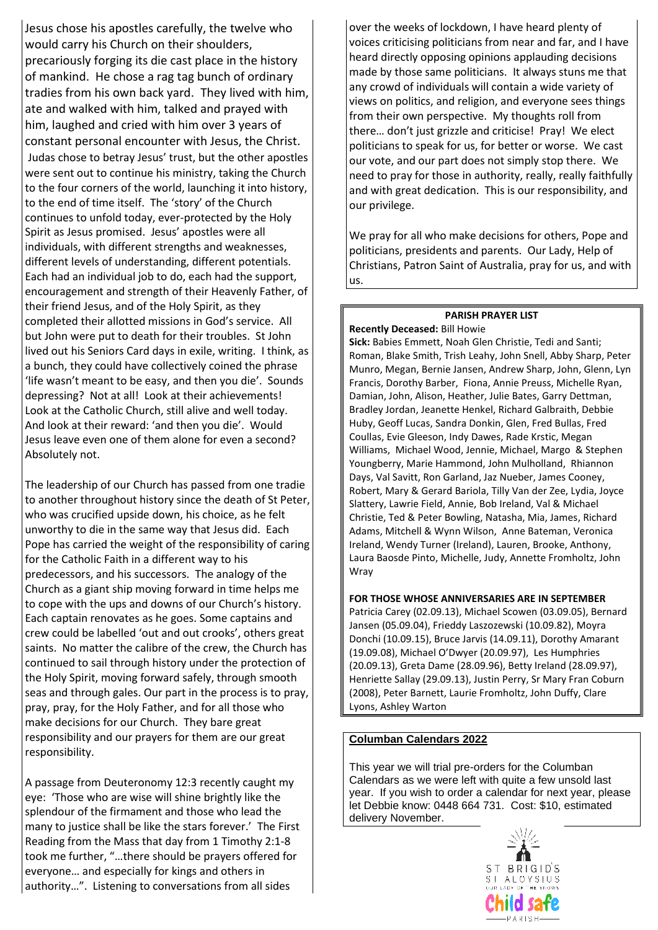Jesus chose his apostles carefully, the twelve who would carry his Church on their shoulders, precariously forging its die cast place in the history of mankind. He chose a rag tag bunch of ordinary tradies from his own back yard. They lived with him, ate and walked with him, talked and prayed with him, laughed and cried with him over 3 years of constant personal encounter with Jesus, the Christ. Judas chose to betray Jesus' trust, but the other apostles were sent out to continue his ministry, taking the Church to the four corners of the world, launching it into history, to the end of time itself. The 'story' of the Church continues to unfold today, ever-protected by the Holy Spirit as Jesus promised. Jesus' apostles were all individuals, with different strengths and weaknesses, different levels of understanding, different potentials. Each had an individual job to do, each had the support, encouragement and strength of their Heavenly Father, of their friend Jesus, and of the Holy Spirit, as they completed their allotted missions in God's service. All but John were put to death for their troubles. St John lived out his Seniors Card days in exile, writing. I think, as a bunch, they could have collectively coined the phrase 'life wasn't meant to be easy, and then you die'. Sounds depressing? Not at all! Look at their achievements! Look at the Catholic Church, still alive and well today. And look at their reward: 'and then you die'. Would Jesus leave even one of them alone for even a second? Absolutely not.

The leadership of our Church has passed from one tradie to another throughout history since the death of St Peter, who was crucified upside down, his choice, as he felt unworthy to die in the same way that Jesus did. Each Pope has carried the weight of the responsibility of caring for the Catholic Faith in a different way to his predecessors, and his successors. The analogy of the Church as a giant ship moving forward in time helps me to cope with the ups and downs of our Church's history. Each captain renovates as he goes. Some captains and crew could be labelled 'out and out crooks', others great saints. No matter the calibre of the crew, the Church has continued to sail through history under the protection of the Holy Spirit, moving forward safely, through smooth seas and through gales. Our part in the process is to pray, pray, pray, for the Holy Father, and for all those who make decisions for our Church. They bare great responsibility and our prayers for them are our great responsibility.

A passage from Deuteronomy 12:3 recently caught my eye: 'Those who are wise will shine brightly like the splendour of the firmament and those who lead the many to justice shall be like the stars forever.' The First Reading from the Mass that day from 1 Timothy 2:1-8 took me further, "…there should be prayers offered for everyone… and especially for kings and others in authority…". Listening to conversations from all sides

over the weeks of lockdown, I have heard plenty of voices criticising politicians from near and far, and I have heard directly opposing opinions applauding decisions made by those same politicians. It always stuns me that any crowd of individuals will contain a wide variety of views on politics, and religion, and everyone sees things from their own perspective. My thoughts roll from there… don't just grizzle and criticise! Pray! We elect politicians to speak for us, for better or worse. We cast our vote, and our part does not simply stop there. We need to pray for those in authority, really, really faithfully and with great dedication. This is our responsibility, and our privilege.

We pray for all who make decisions for others, Pope and politicians, presidents and parents. Our Lady, Help of Christians, Patron Saint of Australia, pray for us, and with us.

#### **PARISH PRAYER LIST**

**Recently Deceased:** Bill Howie **Sick:** Babies Emmett, Noah Glen Christie, Tedi and Santi; Roman, Blake Smith, Trish Leahy, John Snell, Abby Sharp, Peter Munro, Megan, Bernie Jansen, Andrew Sharp, John, Glenn, Lyn Francis, Dorothy Barber, Fiona, Annie Preuss, Michelle Ryan, Damian, John, Alison, Heather, Julie Bates, Garry Dettman, Bradley Jordan, Jeanette Henkel, Richard Galbraith, Debbie Huby, Geoff Lucas, Sandra Donkin, Glen, Fred Bullas, Fred Coullas, Evie Gleeson, Indy Dawes, Rade Krstic, Megan Williams, Michael Wood, Jennie, Michael, Margo & Stephen Youngberry, Marie Hammond, John Mulholland, Rhiannon Days, Val Savitt, Ron Garland, Jaz Nueber, James Cooney, Robert, Mary & Gerard Bariola, Tilly Van der Zee, Lydia, Joyce Slattery, Lawrie Field, Annie, Bob Ireland, Val & Michael Christie, Ted & Peter Bowling, Natasha, Mia, James, Richard Adams, Mitchell & Wynn Wilson, Anne Bateman, Veronica Ireland, Wendy Turner (Ireland), Lauren, Brooke, Anthony, Laura Baosde Pinto, Michelle, Judy, Annette Fromholtz, John Wray

**FOR THOSE WHOSE ANNIVERSARIES ARE IN SEPTEMBER**

Patricia Carey (02.09.13), Michael Scowen (03.09.05), Bernard Jansen (05.09.04), Frieddy Laszozewski (10.09.82), Moyra Donchi (10.09.15), Bruce Jarvis (14.09.11), Dorothy Amarant (19.09.08), Michael O'Dwyer (20.09.97), Les Humphries (20.09.13), Greta Dame (28.09.96), Betty Ireland (28.09.97), Henriette Sallay (29.09.13), Justin Perry, Sr Mary Fran Coburn (2008), Peter Barnett, Laurie Fromholtz, John Duffy, Clare Lyons, Ashley Warton

#### **Columban Calendars 2022**

This year we will trial pre-orders for the Columban Calendars as we were left with quite a few unsold last year. If you wish to order a calendar for next year, please let Debbie know: 0448 664 731. Cost: \$10, estimated delivery November.